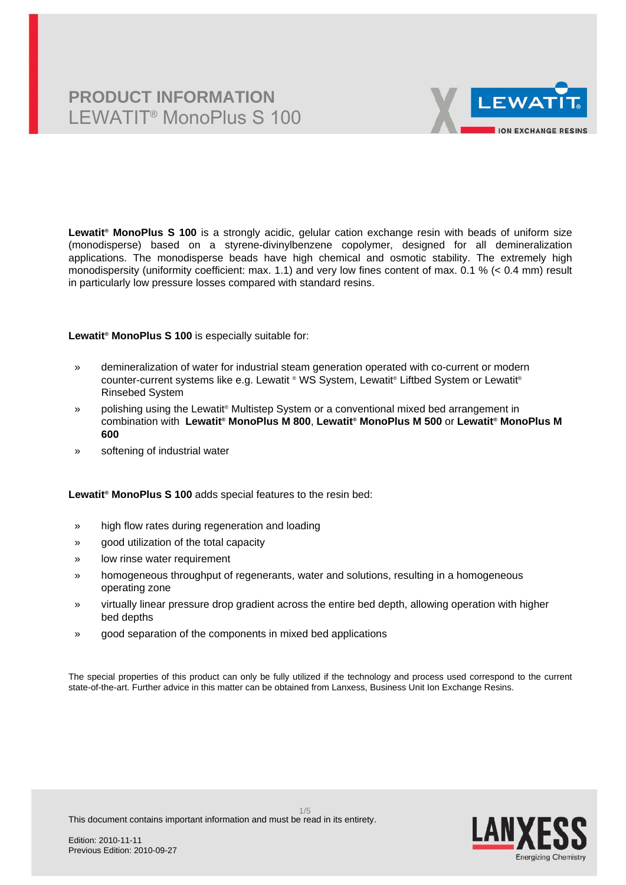

**Lewatit® MonoPlus S 100** is a strongly acidic, gelular cation exchange resin with beads of uniform size (monodisperse) based on a styrene-divinylbenzene copolymer, designed for all demineralization applications. The monodisperse beads have high chemical and osmotic stability. The extremely high monodispersity (uniformity coefficient: max. 1.1) and very low fines content of max. 0.1 % (< 0.4 mm) result in particularly low pressure losses compared with standard resins.

**Lewatit® MonoPlus S 100** is especially suitable for:

- » demineralization of water for industrial steam generation operated with co-current or modern counter-current systems like e.g. Lewatit ® WS System, Lewatit® Liftbed System or Lewatit® Rinsebed System
- » polishing using the Lewatit® Multistep System or a conventional mixed bed arrangement in combination with **Lewatit® MonoPlus M 800**, **Lewatit® MonoPlus M 500** or **Lewatit® MonoPlus M 600**
- » softening of industrial water

**Lewatit® MonoPlus S 100** adds special features to the resin bed:

- » high flow rates during regeneration and loading
- » good utilization of the total capacity
- » low rinse water requirement
- » homogeneous throughput of regenerants, water and solutions, resulting in a homogeneous operating zone
- » virtually linear pressure drop gradient across the entire bed depth, allowing operation with higher bed depths
- » good separation of the components in mixed bed applications

The special properties of this product can only be fully utilized if the technology and process used correspond to the current state-of-the-art. Further advice in this matter can be obtained from Lanxess, Business Unit Ion Exchange Resins.

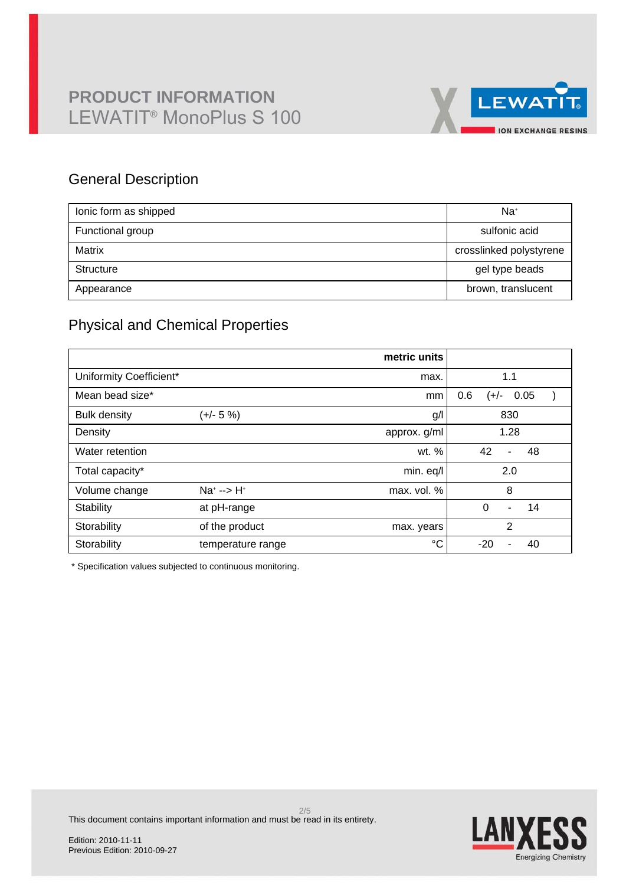

### General Description

| lonic form as shipped | Na <sup>+</sup>         |
|-----------------------|-------------------------|
| Functional group      | sulfonic acid           |
| Matrix                | crosslinked polystyrene |
| Structure             | gel type beads          |
| Appearance            | brown, translucent      |

### Physical and Chemical Properties

|                         |                      | metric units |                     |  |  |
|-------------------------|----------------------|--------------|---------------------|--|--|
| Uniformity Coefficient* |                      | max.         | 1.1                 |  |  |
| Mean bead size*         |                      | mm           | 0.6<br>0.05<br>(+/- |  |  |
| <b>Bulk density</b>     | (+/- 5 %)            | g/           | 830                 |  |  |
| Density                 |                      | approx. g/ml | 1.28                |  |  |
| Water retention         |                      | wt. %        | 42<br>48<br>ä,      |  |  |
| Total capacity*         |                      | min. eq/l    | 2.0                 |  |  |
| Volume change           | $Na^{+}$ --> $H^{+}$ | max. vol. %  | 8                   |  |  |
| Stability               | at pH-range          |              | $\Omega$<br>14<br>- |  |  |
| Storability             | of the product       | max. years   | $\overline{2}$      |  |  |
| Storability             | temperature range    | °C           | $-20$<br>40         |  |  |

\* Specification values subjected to continuous monitoring.

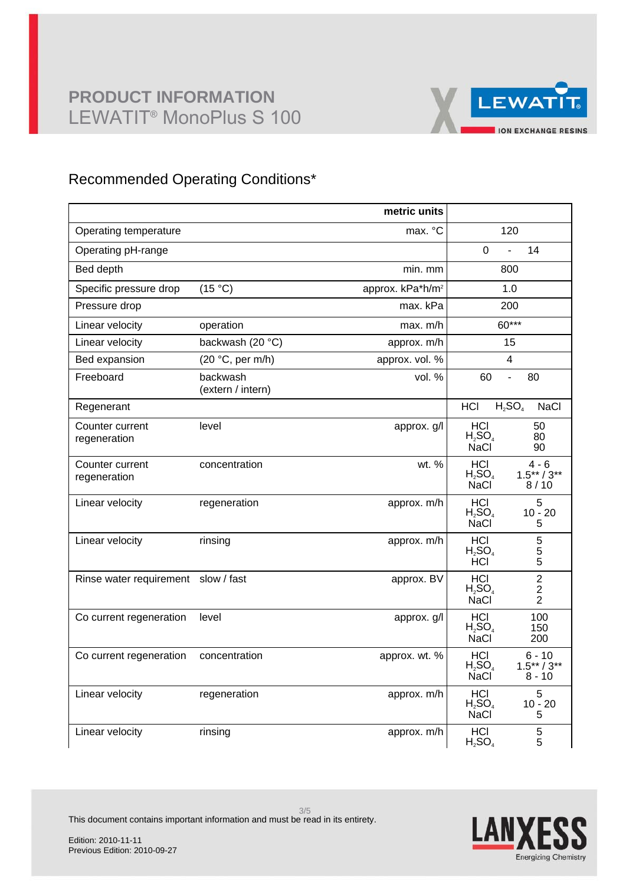

### Recommended Operating Conditions\*

|                                     |                               | metric units                 |                                                                                       |  |
|-------------------------------------|-------------------------------|------------------------------|---------------------------------------------------------------------------------------|--|
| Operating temperature               |                               | max. °C                      | 120                                                                                   |  |
| Operating pH-range                  |                               |                              | 14<br>0<br>$\overline{a}$                                                             |  |
| Bed depth                           |                               | min. mm                      | 800                                                                                   |  |
| Specific pressure drop              | (15 °C)                       | approx. kPa*h/m <sup>2</sup> | 1.0                                                                                   |  |
| Pressure drop                       |                               | max. kPa                     | 200                                                                                   |  |
| Linear velocity                     | operation                     | max. m/h                     | 60***                                                                                 |  |
| Linear velocity                     | backwash (20 °C)              | approx. m/h                  | 15                                                                                    |  |
| Bed expansion                       | (20 °C, per m/h)              | approx. vol. %               | 4                                                                                     |  |
| Freeboard                           | backwash<br>(extern / intern) | vol. %                       | 60<br>80<br>$\overline{a}$                                                            |  |
| Regenerant                          |                               |                              | $H_2SO_4$<br><b>HCI</b><br><b>NaCl</b>                                                |  |
| Counter current<br>regeneration     | level                         | approx. g/l                  | HCI<br>50<br>$H_2SO_4$<br>80<br><b>NaCl</b><br>90                                     |  |
| Counter current<br>regeneration     | concentration                 | wt. %                        | HCI<br>$4 - 6$<br>$H_2SO_4$<br>$1.5***/3**$<br><b>NaCl</b><br>8/10                    |  |
| Linear velocity                     | regeneration                  | approx. m/h                  | HCI<br>5<br>$H_2SO_4$<br>$10 - 20$<br><b>NaCl</b><br>5                                |  |
| Linear velocity                     | rinsing                       | approx. m/h                  | HCI<br>5<br>$H_2SO_4$<br>$\frac{5}{5}$<br><b>HCI</b>                                  |  |
| Rinse water requirement slow / fast |                               | approx. BV                   | $\overline{c}$<br>HCI<br>$H_2SO_4$<br>$\overline{c}$<br><b>NaCl</b><br>$\overline{2}$ |  |
| Co current regeneration             | level                         | approx. g/l                  | <b>HCI</b><br>100<br>$H_2SO_4$<br>150<br><b>NaCl</b><br>200                           |  |
| Co current regeneration             | concentration                 | approx. wt. %                | $6 - 10$<br>HCI.<br>$H_2SO_4$<br>$1.5***/3**$<br><b>NaCl</b><br>$8 - 10$              |  |
| Linear velocity                     | regeneration                  | approx. m/h                  | HCI<br>5<br>H <sub>2</sub> SO <sub>4</sub><br>$10 - 20$<br>NaCl <sup>®</sup><br>5     |  |
| Linear velocity                     | rinsing                       | approx. m/h                  | HCI<br>5<br>$H_2SO_4$<br>5                                                            |  |



This document contains important information and must be read in its entirety.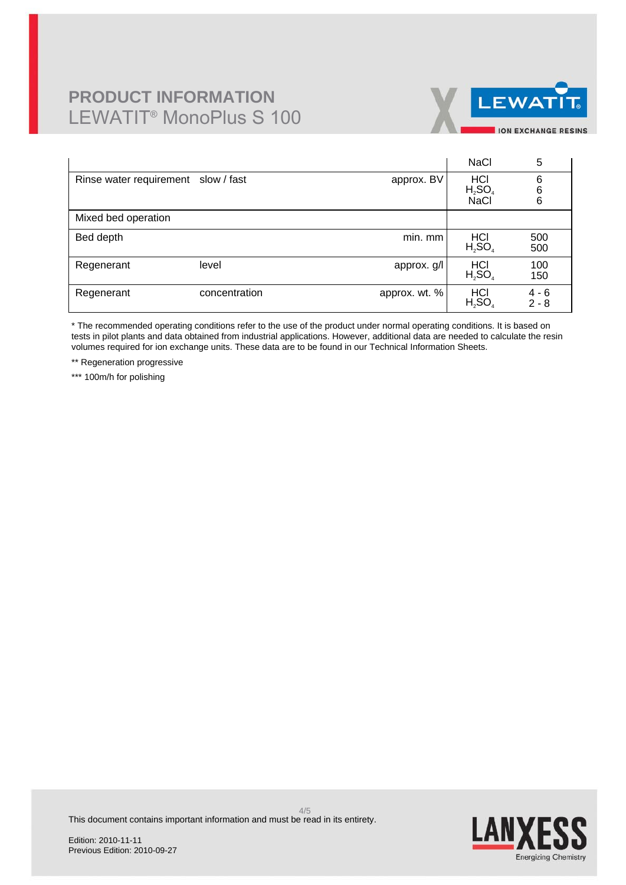

|                                     |               |               | <b>NaCl</b>                                   | 5                  |
|-------------------------------------|---------------|---------------|-----------------------------------------------|--------------------|
| Rinse water requirement slow / fast |               | approx. BV    | H <sub>2</sub> SO <sub>4</sub><br><b>NaCl</b> | 6<br>6<br>6        |
| Mixed bed operation                 |               |               |                                               |                    |
| Bed depth                           |               | min. mm       | HCI<br>$H_2SO_4$                              | 500<br>500         |
| Regenerant                          | level         | approx. g/l   | H <sub>2</sub> SO <sub>4</sub>                | 100<br>150         |
| Regenerant                          | concentration | approx. wt. % | HCI<br>$H_2SO_4$                              | $4 - 6$<br>$2 - 8$ |

\* The recommended operating conditions refer to the use of the product under normal operating conditions. It is based on tests in pilot plants and data obtained from industrial applications. However, additional data are needed to calculate the resin volumes required for ion exchange units. These data are to be found in our Technical Information Sheets.

\*\* Regeneration progressive

\*\*\* 100m/h for polishing